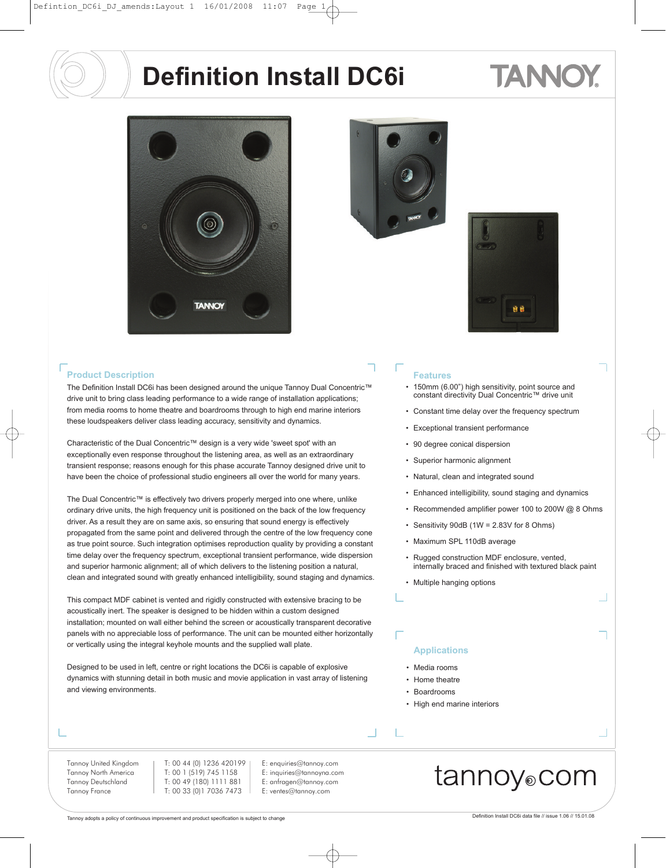## TANNO





The Definition Install DC6i has been designed around the unique Tannoy Dual Concentric™ drive unit to bring class leading performance to a wide range of installation applications; from media rooms to home theatre and boardrooms through to high end marine interiors these loudspeakers deliver class leading accuracy, sensitivity and dynamics.

Characteristic of the Dual Concentric™ design is a very wide 'sweet spot' with an exceptionally even response throughout the listening area, as well as an extraordinary transient response; reasons enough for this phase accurate Tannoy designed drive unit to have been the choice of professional studio engineers all over the world for many years.

The Dual Concentric™ is effectively two drivers properly merged into one where, unlike ordinary drive units, the high frequency unit is positioned on the back of the low frequency driver. As a result they are on same axis, so ensuring that sound energy is effectively propagated from the same point and delivered through the centre of the low frequency cone as true point source. Such integration optimises reproduction quality by providing a constant time delay over the frequency spectrum, exceptional transient performance, wide dispersion and superior harmonic alignment; all of which delivers to the listening position a natural, clean and integrated sound with greatly enhanced intelligibility, sound staging and dynamics.

This compact MDF cabinet is vented and rigidly constructed with extensive bracing to be acoustically inert. The speaker is designed to be hidden within a custom designed installation; mounted on wall either behind the screen or acoustically transparent decorative panels with no appreciable loss of performance. The unit can be mounted either horizontally or vertically using the integral keyhole mounts and the supplied wall plate.

Designed to be used in left, centre or right locations the DC6i is capable of explosive dynamics with stunning detail in both music and movie application in vast array of listening and viewing environments.

#### Tannoy United Kingdom Tannoy North America Tannoy Deutschland Tannoy France

T: 00 44 (0) 1236 420199 T: 00 1 (519) 745 1158 T: 00 49 (180) 1111 881 T: 00 33 (0)1 7036 7473

#### E: enquiries@tannoy.com E: inquiries@tannoyna.com E: anfragen@tannoy.com E: ventes@tannoy.com





- 150mm (6.00") high sensitivity, point source and constant directivity Dual Concentric™ drive unit
- Constant time delay over the frequency spectrum
- Exceptional transient performance
- 90 degree conical dispersion
- Superior harmonic alignment
- Natural, clean and integrated sound
- Enhanced intelligibility, sound staging and dynamics
- Recommended amplifier power 100 to 200W @ 8 Ohms
- Sensitivity 90dB (1W = 2.83V for 8 Ohms)
- Maximum SPL 110dB average
- Rugged construction MDF enclosure, vented, internally braced and finished with textured black paint
- Multiple hanging options

#### **Applications**

- Media rooms
- Home theatre
- Boardrooms

 $\mathbb{Z}$ 

• High end marine interiors

#### tannoy®com

Tannoy adopts a policy of continuous improvement and product specification is subject to change Definition Install DC6i data file // issue 1.06 // 15.01.08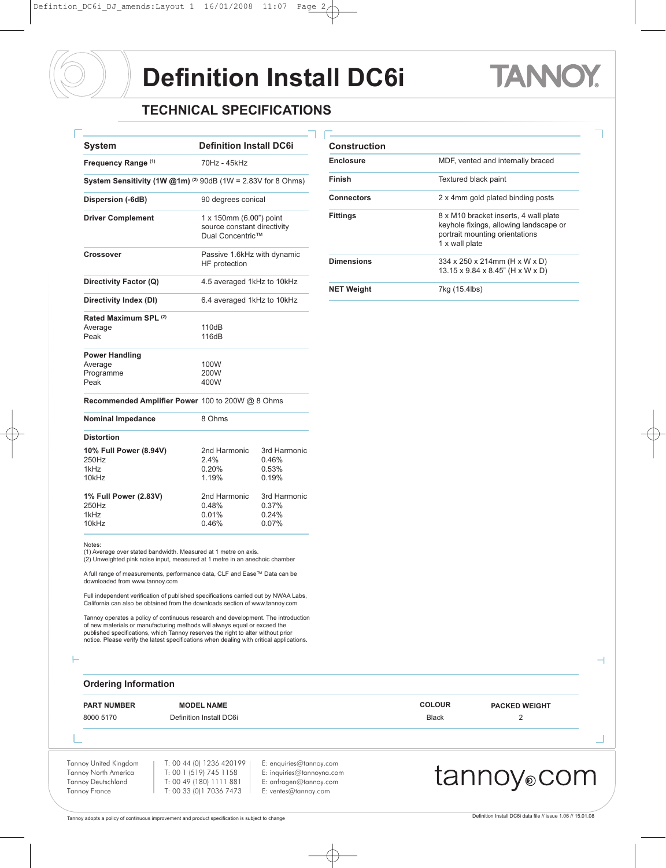### TA I

**Enclosure** MDF, vented and internally braced

**Connectors** 2 x 4mm gold plated binding posts **Fittings** 8 x M10 bracket inserts, 4 wall plate

**Dimensions** 334 x 250 x 214mm (H x W x D)

1 x wall plate

keyhole fixings, allowing landscape or portrait mounting orientations

13.15 x 9.84 x 8.45" (H x W x D)

**Finish** Textured black paint

**Construction** 

**NET Weight** 7kg (15.4lbs)

#### **TECHNICAL SPECIFICATIONS**

| System                                                                     | <b>Definition Install DC6i</b>                                             |                                         |  |
|----------------------------------------------------------------------------|----------------------------------------------------------------------------|-----------------------------------------|--|
| Frequency Range (1)                                                        | 70Hz - 45kHz                                                               |                                         |  |
| System Sensitivity (1W $@1m$ ) <sup>(2)</sup> 90dB (1W = 2.83V for 8 Ohms) |                                                                            |                                         |  |
| Dispersion (-6dB)                                                          | 90 degrees conical                                                         |                                         |  |
| <b>Driver Complement</b>                                                   | 1 x 150mm (6.00") point<br>source constant directivity<br>Dual Concentric™ |                                         |  |
| <b>Crossover</b>                                                           | Passive 1.6kHz with dynamic<br>HF protection                               |                                         |  |
| Directivity Factor (Q)                                                     | 4.5 averaged 1kHz to 10kHz                                                 |                                         |  |
| Directivity Index (DI)                                                     | 6.4 averaged 1kHz to 10kHz                                                 |                                         |  |
| Rated Maximum SPL (2)<br>Average<br>Peak                                   | 110dB<br>116dB                                                             |                                         |  |
| <b>Power Handling</b><br>Average<br>Programme<br>Peak                      | 100W<br>200W<br>400W                                                       |                                         |  |
| Recommended Amplifier Power 100 to 200W @ 8 Ohms                           |                                                                            |                                         |  |
| <b>Nominal Impedance</b>                                                   | 8 Ohms                                                                     |                                         |  |
| <b>Distortion</b>                                                          |                                                                            |                                         |  |
| 10% Full Power (8.94V)<br>250Hz<br>1kHz<br>10kHz                           | 2nd Harmonic<br>2.4%<br>0.20%<br>1.19%                                     | 3rd Harmonic<br>0.46%<br>0.53%<br>0.19% |  |
| 1% Full Power (2.83V)<br>250Hz<br>1kHz<br>10kHz                            | 2nd Harmonic<br>0.48%<br>0.01%<br>0.46%                                    | 3rd Harmonic<br>0.37%<br>0.24%<br>0.07% |  |

Notes: (1) Average over stated bandwidth. Measured at 1 metre on axis. (2) Unweighted pink noise input, measured at 1 metre in an anechoic chamber

A full range of measurements, performance data, CLF and Ease™ Data can be downloaded from www.tannoy.com

Full independent verification of published specifications carried out by NWAA Labs, California can also be obtained from the downloads section of www.tannoy.com

Tannoy operates a policy of continuous research and development. The introduction of new materials or manufacturing methods will always equal or exceed the published specifications, which Tannoy reserves the right to alter without prior notice. Please verify the latest specifications when dealing with critical applications.

#### **Ordering Information**

Tannoy United Kingdom T: 00 44 (0) 1236 420199 E: enquiries@tannoy.com 8000 5170 Definition Install DC6i **Black** 2 **PART NUMBER MODEL NAME COLOUR PACKED WEIGHT**

Tannoy North America Tannoy Deutschland Tannoy France

E: inquiries@tannoyna.com E: anfragen@tannoy.com E: ventes@tannoy.com

#### tannoy®com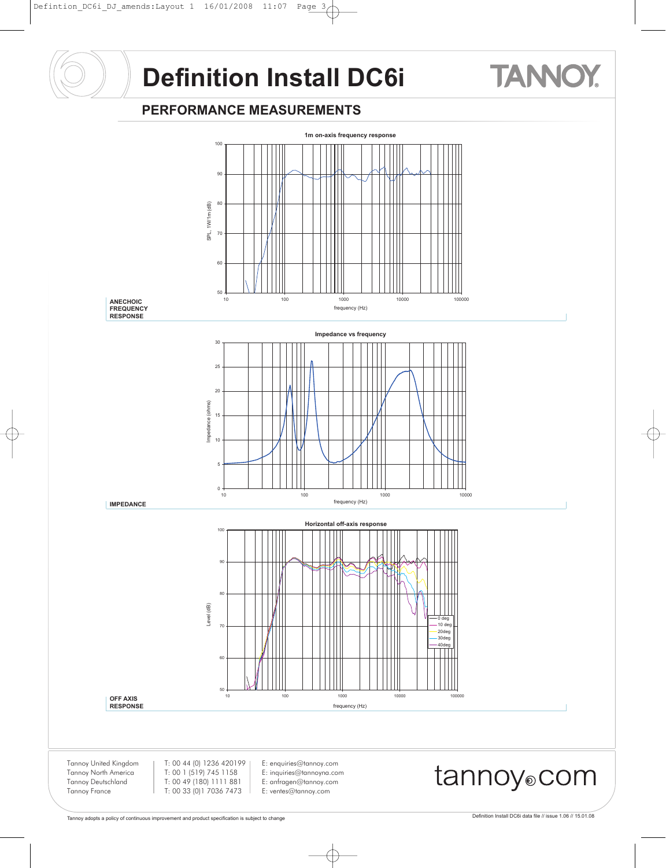# **TANNOY**

#### **PERFORMANCE MEASUREMENTS**

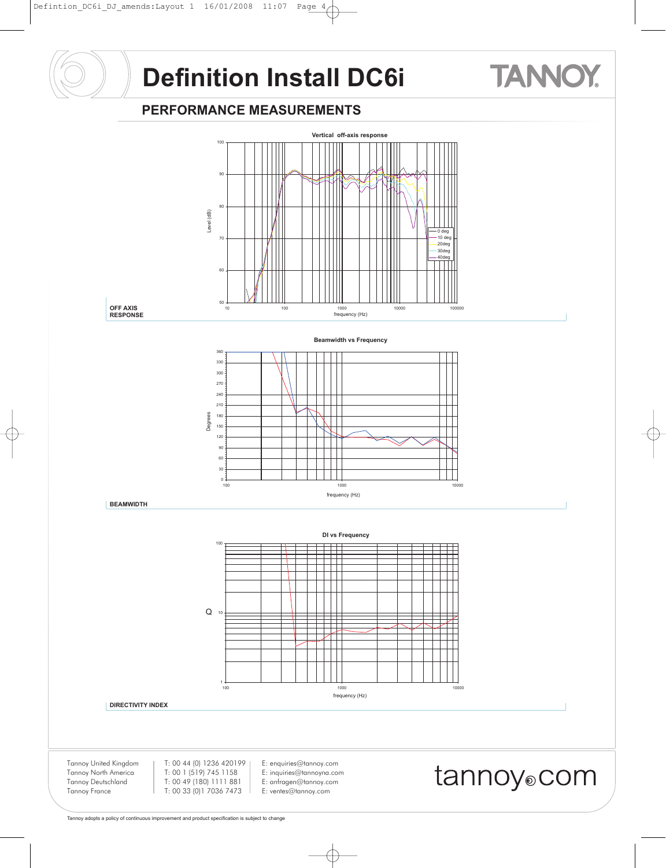## **TANNOY**

#### **PERFORMANCE MEASUREMENTS**



#### **DIRECTIVITY INDEX**

Tannoy United Kingdom Tannoy North America Tannoy Deutschland Tannoy France

T: 00 44 (0) 1236 420199 T: 00 1 (519) 745 1158 T: 00 49 (180) 1111 881 T: 00 33 (0)1 7036 7473

E: enquiries@tannoy.com E: inquiries@tannoyna.com E: anfragen@tannoy.com E: ventes@tannoy.com

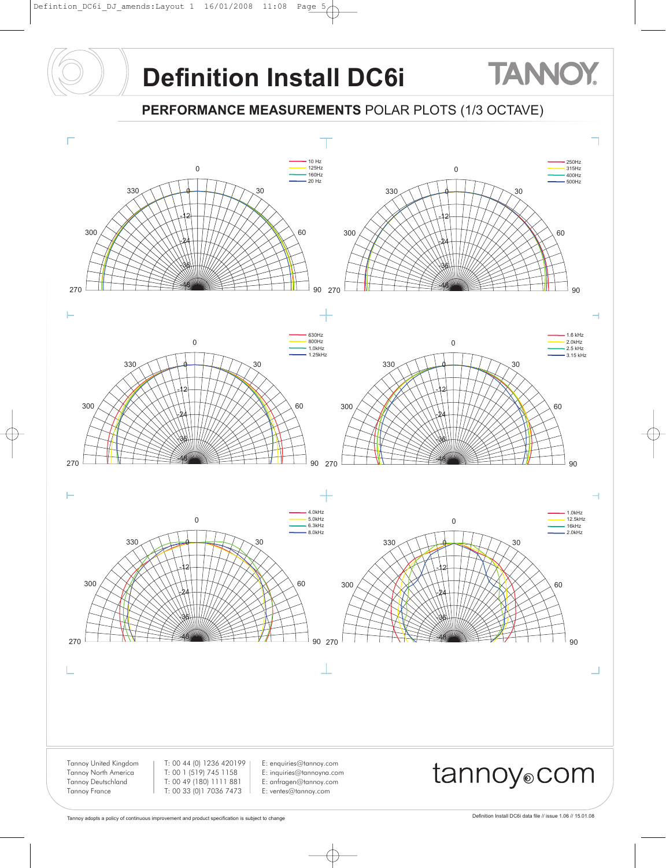## **TANNOY.**

#### **PERFORMANCE MEASUREMENTS** POLAR PLOTS (1/3 OCTAVE)

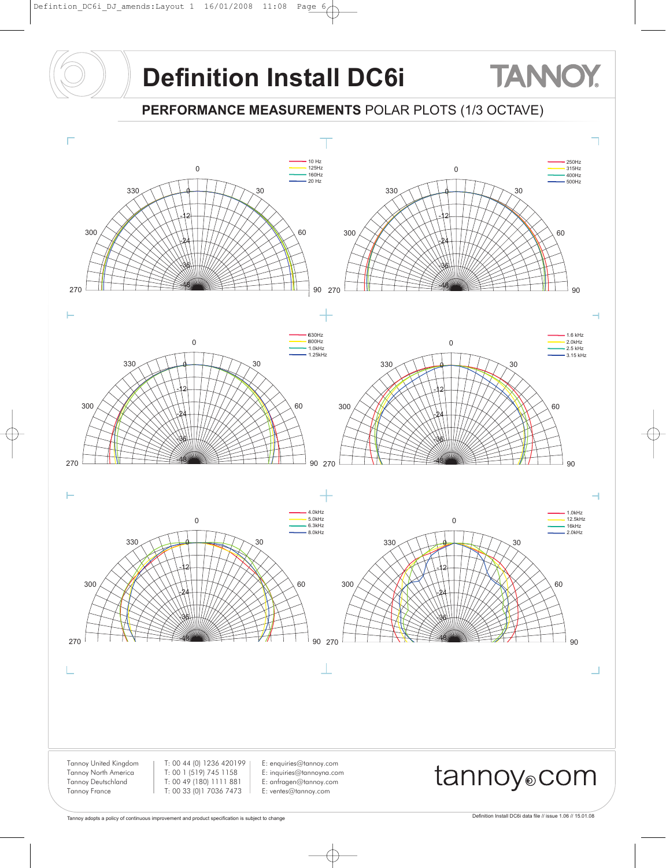**PERFORMANCE MEASUREMENTS** POLAR PLOTS (1/3 OCTAVE)



**TANNOY**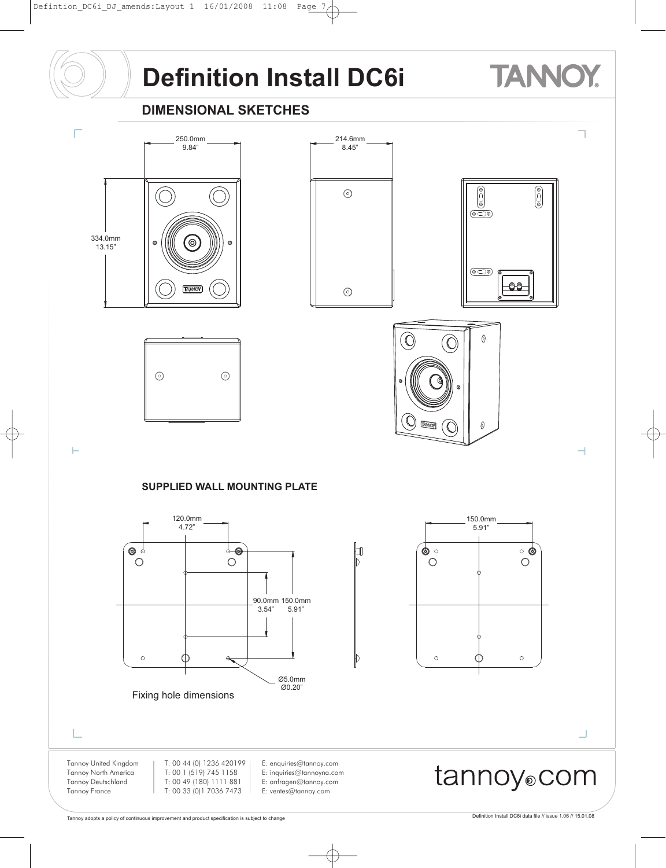### **TANNOY**

#### **DIMENSIONAL SKETCHES**